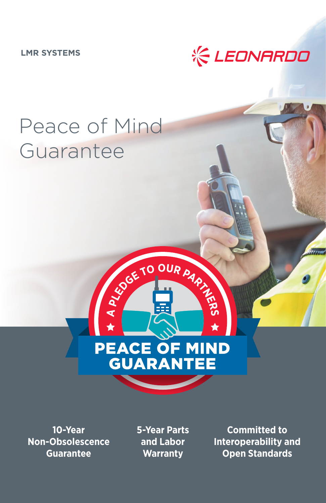**LMR SYSTEMS**



# Peace of Mind Guarantee



**10-Year Non-Obsolescence Guarantee**

**5-Year Parts and Labor Warranty**

**Committed to Interoperability and Open Standards**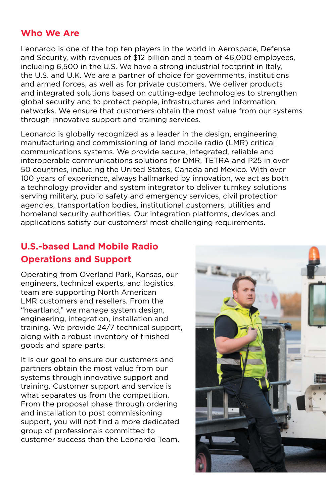#### **Who We Are**

Leonardo is one of the top ten players in the world in Aerospace, Defense and Security, with revenues of \$12 billion and a team of 46,000 employees, including 6,500 in the U.S. We have a strong industrial footprint in Italy, the U.S. and U.K. We are a partner of choice for governments, institutions and armed forces, as well as for private customers. We deliver products and integrated solutions based on cutting-edge technologies to strengthen global security and to protect people, infrastructures and information networks. We ensure that customers obtain the most value from our systems through innovative support and training services.

Leonardo is globally recognized as a leader in the design, engineering, manufacturing and commissioning of land mobile radio (LMR) critical communications systems. We provide secure, integrated, reliable and interoperable communications solutions for DMR, TETRA and P25 in over 50 countries, including the United States, Canada and Mexico. With over 100 years of experience, always hallmarked by innovation, we act as both a technology provider and system integrator to deliver turnkey solutions serving military, public safety and emergency services, civil protection agencies, transportation bodies, institutional customers, utilities and homeland security authorities. Our integration platforms, devices and applications satisfy our customers' most challenging requirements.

# **U.S.-based Land Mobile Radio Operations and Support**

Operating from Overland Park, Kansas, our engineers, technical experts, and logistics team are supporting North American LMR customers and resellers. From the "heartland," we manage system design, engineering, integration, installation and training. We provide 24/7 technical support, along with a robust inventory of finished goods and spare parts.

It is our goal to ensure our customers and partners obtain the most value from our systems through innovative support and training. Customer support and service is what separates us from the competition. From the proposal phase through ordering and installation to post commissioning support, you will not find a more dedicated group of professionals committed to customer success than the Leonardo Team.

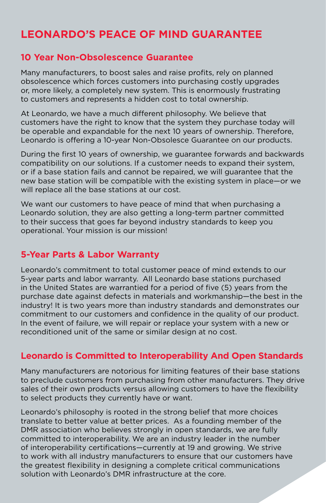# **LEONARDO'S PEACE OF MIND GUARANTEE**

#### **10 Year Non-Obsolescence Guarantee**

Many manufacturers, to boost sales and raise profits, rely on planned obsolescence which forces customers into purchasing costly upgrades or, more likely, a completely new system. This is enormously frustrating to customers and represents a hidden cost to total ownership.

At Leonardo, we have a much different philosophy. We believe that customers have the right to know that the system they purchase today will be operable and expandable for the next 10 years of ownership. Therefore, Leonardo is offering a 10-year Non-Obsolesce Guarantee on our products.

During the first 10 years of ownership, we guarantee forwards and backwards compatibility on our solutions. If a customer needs to expand their system, or if a base station fails and cannot be repaired, we will guarantee that the new base station will be compatible with the existing system in place—or we will replace all the base stations at our cost.

We want our customers to have peace of mind that when purchasing a Leonardo solution, they are also getting a long-term partner committed to their success that goes far beyond industry standards to keep you operational. Your mission is our mission!

### **5-Year Parts & Labor Warranty**

Leonardo's commitment to total customer peace of mind extends to our 5-year parts and labor warranty. All Leonardo base stations purchased in the United States are warrantied for a period of five (5) years from the purchase date against defects in materials and workmanship—the best in the industry! It is two years more than industry standards and demonstrates our commitment to our customers and confidence in the quality of our product. In the event of failure, we will repair or replace your system with a new or reconditioned unit of the same or similar design at no cost.

#### **Leonardo is Committed to Interoperability And Open Standards**

Many manufacturers are notorious for limiting features of their base stations to preclude customers from purchasing from other manufacturers. They drive sales of their own products versus allowing customers to have the flexibility to select products they currently have or want.

Leonardo's philosophy is rooted in the strong belief that more choices translate to better value at better prices. As a founding member of the DMR association who believes strongly in open standards, we are fully committed to interoperability. We are an industry leader in the number of interoperability certifications—currently at 19 and growing. We strive to work with all industry manufacturers to ensure that our customers have the greatest flexibility in designing a complete critical communications solution with Leonardo's DMR infrastructure at the core.